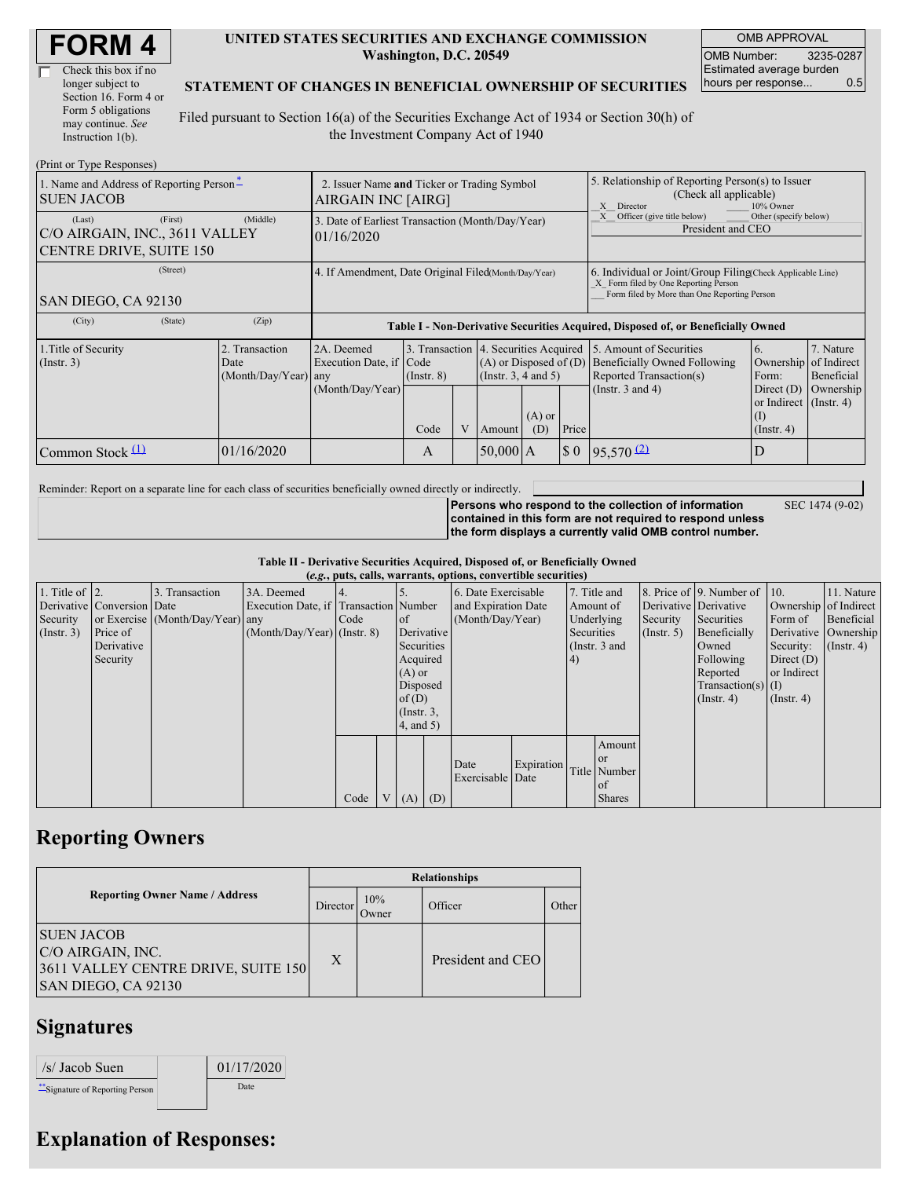| <b>FORM4</b> |
|--------------|
|--------------|

| Check this box if no  |
|-----------------------|
| longer subject to     |
| Section 16. Form 4 or |
| Form 5 obligations    |
| may continue. See     |
| Instruction $1(b)$ .  |

#### **UNITED STATES SECURITIES AND EXCHANGE COMMISSION Washington, D.C. 20549**

OMB APPROVAL OMB Number: 3235-0287 Estimated average burden hours per response... 0.5

#### **STATEMENT OF CHANGES IN BENEFICIAL OWNERSHIP OF SECURITIES**

Filed pursuant to Section 16(a) of the Securities Exchange Act of 1934 or Section 30(h) of the Investment Company Act of 1940

| (Print or Type Responses)                                                             |                                                                   |                                                                                                                                                              |      |                                                                                                                       |            |                                        |                                                                                                                                                    |                       |                                                            |           |
|---------------------------------------------------------------------------------------|-------------------------------------------------------------------|--------------------------------------------------------------------------------------------------------------------------------------------------------------|------|-----------------------------------------------------------------------------------------------------------------------|------------|----------------------------------------|----------------------------------------------------------------------------------------------------------------------------------------------------|-----------------------|------------------------------------------------------------|-----------|
| 1. Name and Address of Reporting Person <sup>*</sup><br><b>SUEN JACOB</b>             | 2. Issuer Name and Ticker or Trading Symbol<br>AIRGAIN INC [AIRG] |                                                                                                                                                              |      |                                                                                                                       |            |                                        | 5. Relationship of Reporting Person(s) to Issuer<br>(Check all applicable)<br>Director<br>10% Owner<br>X                                           |                       |                                                            |           |
| (First)<br>(Last)<br>C/O AIRGAIN, INC., 3611 VALLEY<br><b>CENTRE DRIVE, SUITE 150</b> | (Middle)                                                          | 3. Date of Earliest Transaction (Month/Day/Year)<br>101/16/2020                                                                                              |      |                                                                                                                       |            |                                        | Other (specify below)<br>Officer (give title below)<br>President and CEO                                                                           |                       |                                                            |           |
| (Street)<br>SAN DIEGO, CA 92130                                                       | 4. If Amendment, Date Original Filed(Month/Day/Year)              |                                                                                                                                                              |      |                                                                                                                       |            |                                        | 6. Individual or Joint/Group Filing Check Applicable Line)<br>X Form filed by One Reporting Person<br>Form filed by More than One Reporting Person |                       |                                                            |           |
| (City)<br>(State)                                                                     | (Zip)                                                             | Table I - Non-Derivative Securities Acquired, Disposed of, or Beneficially Owned                                                                             |      |                                                                                                                       |            |                                        |                                                                                                                                                    |                       |                                                            |           |
| 1. Title of Security<br>$($ Instr. 3 $)$                                              | 2. Transaction<br>Date<br>(Month/Day/Year) any                    | 3. Transaction 4. Securities Acquired<br>2A. Deemed<br>Execution Date, if Code<br>$(A)$ or Disposed of $(D)$<br>$($ Instr. 3, 4 and 5 $)$<br>$($ Instr. $8)$ |      | 5. Amount of Securities<br>6.<br><b>Beneficially Owned Following</b><br>Ownership<br>Reported Transaction(s)<br>Form: |            | 7. Nature<br>of Indirect<br>Beneficial |                                                                                                                                                    |                       |                                                            |           |
|                                                                                       |                                                                   | (Month/Day/Year)                                                                                                                                             | Code |                                                                                                                       | Amount     | $(A)$ or<br>(D)                        | Price                                                                                                                                              | (Instr. $3$ and $4$ ) | Direct $(D)$<br>or Indirect (Instr. 4)<br>$($ Instr. 4 $)$ | Ownership |
| Common Stock $(1)$                                                                    | 01/16/2020                                                        |                                                                                                                                                              | A    |                                                                                                                       | $50,000$ A |                                        | $\boldsymbol{\mathsf{S}}$ 0                                                                                                                        | $95,570$ $(2)$        | D                                                          |           |

Reminder: Report on a separate line for each class of securities beneficially owned directly or indirectly.

SEC 1474 (9-02)

**Persons who respond to the collection of information contained in this form are not required to respond unless the form displays a currently valid OMB control number.**

|  |  |  | Table II - Derivative Securities Acquired, Disposed of, or Beneficially Owned |
|--|--|--|-------------------------------------------------------------------------------|
|  |  |  |                                                                               |

|                        | (e.g., puts, calls, warrants, options, convertible securities) |                                  |                                       |      |                |                 |                  |                     |            |              |                 |                  |                              |                       |               |
|------------------------|----------------------------------------------------------------|----------------------------------|---------------------------------------|------|----------------|-----------------|------------------|---------------------|------------|--------------|-----------------|------------------|------------------------------|-----------------------|---------------|
| 1. Title of $\vert$ 2. |                                                                | 3. Transaction                   | 3A. Deemed                            |      |                |                 |                  | 6. Date Exercisable |            | 7. Title and |                 |                  | 8. Price of 9. Number of 10. |                       | 11. Nature    |
|                        | Derivative Conversion Date                                     |                                  | Execution Date, if Transaction Number |      |                |                 |                  | and Expiration Date |            | Amount of    |                 |                  | Derivative Derivative        | Ownership of Indirect |               |
| Security               |                                                                | or Exercise (Month/Day/Year) any |                                       | Code |                | of              | (Month/Day/Year) |                     | Underlying |              | Security        | Securities       | Form of                      | Beneficial            |               |
| $($ Instr. 3 $)$       | Price of                                                       |                                  | $(Month/Day/Year)$ (Instr. 8)         |      |                | Derivative      |                  |                     |            | Securities   |                 | $($ Instr. 5 $)$ | Beneficially                 | Derivative Ownership  |               |
|                        | Derivative                                                     |                                  |                                       |      |                | Securities      |                  |                     |            |              | (Instr. $3$ and |                  | Owned                        | Security:             | $($ Instr. 4) |
|                        | Security                                                       |                                  |                                       |      |                | Acquired        |                  |                     |            | 4)           |                 |                  | Following                    | Direct $(D)$          |               |
|                        |                                                                |                                  |                                       |      |                | $(A)$ or        |                  |                     |            |              |                 |                  | Reported                     | or Indirect           |               |
|                        |                                                                |                                  |                                       |      |                | Disposed        |                  |                     |            |              |                 |                  | $Transaction(s)$ (I)         |                       |               |
|                        |                                                                |                                  |                                       |      |                | of $(D)$        |                  |                     |            |              |                 |                  | $($ Instr. 4 $)$             | $($ Instr. 4 $)$      |               |
|                        |                                                                |                                  |                                       |      |                | $($ Instr. $3,$ |                  |                     |            |              |                 |                  |                              |                       |               |
|                        |                                                                |                                  |                                       |      |                | (4, and 5)      |                  |                     |            |              |                 |                  |                              |                       |               |
|                        |                                                                |                                  |                                       |      |                |                 |                  |                     |            |              | Amount          |                  |                              |                       |               |
|                        |                                                                |                                  |                                       |      |                |                 |                  | Date                | Expiration |              | <b>or</b>       |                  |                              |                       |               |
|                        |                                                                |                                  |                                       |      |                |                 |                  | Exercisable Date    |            |              | Title Number    |                  |                              |                       |               |
|                        |                                                                |                                  |                                       |      |                |                 |                  |                     |            |              | of              |                  |                              |                       |               |
|                        |                                                                |                                  |                                       | Code | V <sub>1</sub> | (A)             | (D)              |                     |            |              | <b>Shares</b>   |                  |                              |                       |               |

### **Reporting Owners**

|                                                               |                                       |          |              | <b>Relationships</b> |       |  |  |  |  |  |
|---------------------------------------------------------------|---------------------------------------|----------|--------------|----------------------|-------|--|--|--|--|--|
|                                                               | <b>Reporting Owner Name / Address</b> | Director | 10%<br>Owner | Officer              | Other |  |  |  |  |  |
| <b>SUEN JACOB</b><br>C/O AIRGAIN, INC.<br>SAN DIEGO, CA 92130 | 3611 VALLEY CENTRE DRIVE, SUITE 150   | X        |              | President and CEO    |       |  |  |  |  |  |

## **Signatures**

| /s/ Jacob Suen                   | 01/17/2020 |
|----------------------------------|------------|
| ** Signature of Reporting Person | Date       |

# **Explanation of Responses:**